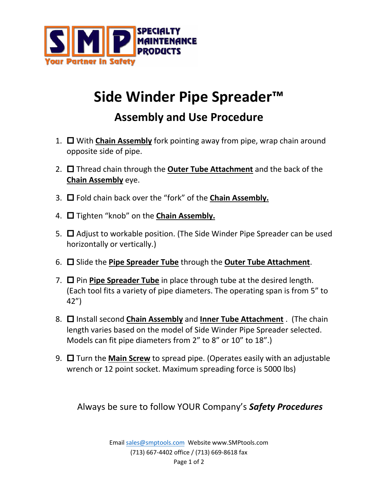

## **Side Winder Pipe Spreader™**

## **Assembly and Use Procedure**

- 1. With **Chain Assembly** fork pointing away from pipe, wrap chain around opposite side of pipe.
- 2. □ Thread chain through the **Outer Tube Attachment** and the back of the **Chain Assembly** eye.
- 3. Fold chain back over the "fork" of the **Chain Assembly.**
- 4. □ Tighten "knob" on the **Chain Assembly.**
- 5.  $\Box$  Adjust to workable position. (The Side Winder Pipe Spreader can be used horizontally or vertically.)
- 6.  $\Box$  Slide the **Pipe Spreader Tube** through the **Outer Tube Attachment**.
- 7.  $\Box$  Pin Pipe Spreader Tube in place through tube at the desired length. (Each tool fits a variety of pipe diameters. The operating span is from 5" to 42")
- 8.  $\Box$  Install second **Chain Assembly** and **Inner Tube Attachment** . (The chain length varies based on the model of Side Winder Pipe Spreader selected. Models can fit pipe diameters from 2" to 8" or 10" to 18".)
- 9.  $\Box$  Turn the **Main Screw** to spread pipe. (Operates easily with an adjustable wrench or 12 point socket. Maximum spreading force is 5000 lbs)

Always be sure to follow YOUR Company's *Safety Procedures*